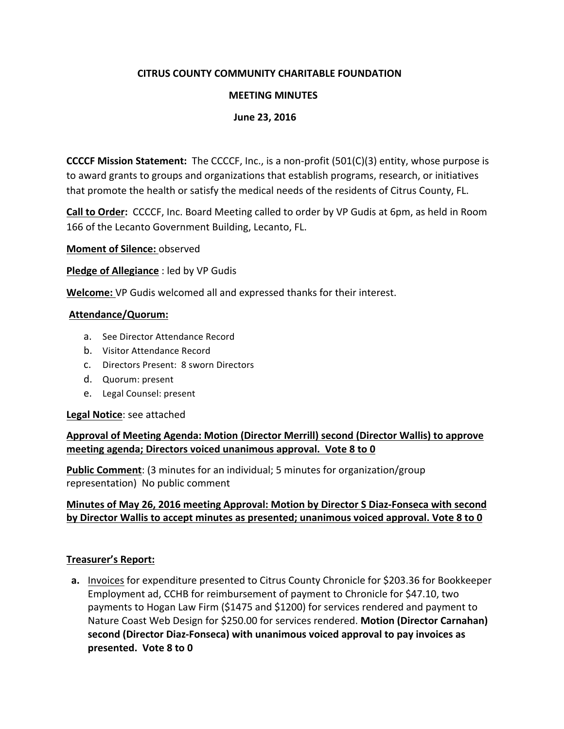### **CITRUS COUNTY COMMUNITY CHARITABLE FOUNDATION**

### **MEETING MINUTES**

### **June 23, 2016**

**CCCCF Mission Statement:** The CCCCF, Inc., is a non-profit (501(C)(3) entity, whose purpose is to award grants to groups and organizations that establish programs, research, or initiatives that promote the health or satisfy the medical needs of the residents of Citrus County, FL.

**Call to Order:** CCCCF, Inc. Board Meeting called to order by VP Gudis at 6pm, as held in Room 166 of the Lecanto Government Building, Lecanto, FL.

**Moment of Silence:** observed

**Pledge of Allegiance** : led by VP Gudis

**Welcome:** VP Gudis welcomed all and expressed thanks for their interest.

#### **Attendance/Quorum:**

- a. See Director Attendance Record
- b. Visitor Attendance Record
- c. Directors Present: 8 sworn Directors
- d. Quorum: present
- e. Legal Counsel: present

#### Legal Notice: see attached

# Approval of Meeting Agenda: Motion (Director Merrill) second (Director Wallis) to approve **meeting agenda; Directors voiced unanimous approval. Vote 8 to 0**

**Public Comment**: (3 minutes for an individual; 5 minutes for organization/group representation) No public comment

### **Minutes of May 26, 2016 meeting Approval: Motion by Director S Diaz-Fonseca with second** by Director Wallis to accept minutes as presented; unanimous voiced approval. Vote 8 to 0

### **Treasurer's Report:**

**a.** Invoices for expenditure presented to Citrus County Chronicle for \$203.36 for Bookkeeper Employment ad, CCHB for reimbursement of payment to Chronicle for \$47.10, two payments to Hogan Law Firm (\$1475 and \$1200) for services rendered and payment to Nature Coast Web Design for \$250.00 for services rendered. Motion (Director Carnahan) second (Director Diaz-Fonseca) with unanimous voiced approval to pay invoices as presented. Vote 8 to 0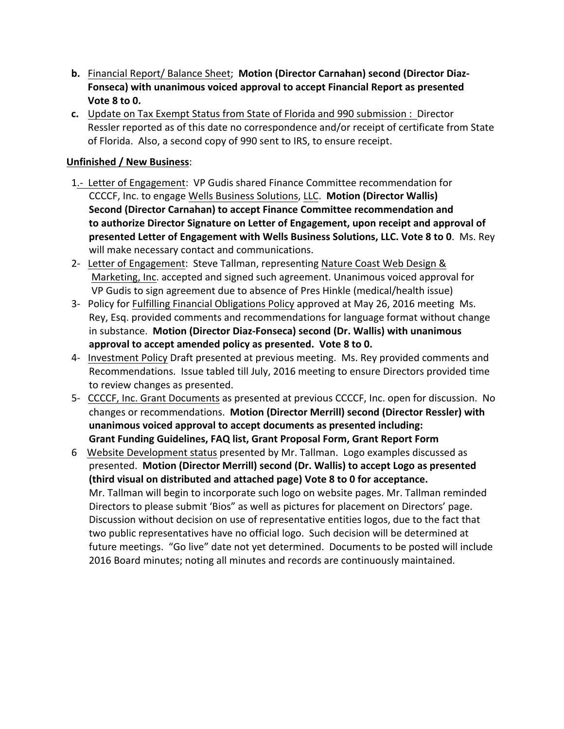- **b.** Financial Report/ Balance Sheet; Motion (Director Carnahan) second (Director Diaz-**Fonseca)** with unanimous voiced approval to accept Financial Report as presented **Vote 8 to 0.**
- **c.** Update on Tax Exempt Status from State of Florida and 990 submission : Director Ressler reported as of this date no correspondence and/or receipt of certificate from State of Florida. Also, a second copy of 990 sent to IRS, to ensure receipt.

# **Unfinished / New Business:**

- 1.- Letter of Engagement: VP Gudis shared Finance Committee recommendation for CCCCF, Inc. to engage Wells Business Solutions, LLC. **Motion (Director Wallis) Second (Director Carnahan) to accept Finance Committee recommendation and** to authorize Director Signature on Letter of Engagement, upon receipt and approval of **presented Letter of Engagement with Wells Business Solutions, LLC. Vote 8 to 0.** Ms. Rey will make necessary contact and communications.
- 2- Letter of Engagement: Steve Tallman, representing Nature Coast Web Design & Marketing, Inc. accepted and signed such agreement. Unanimous voiced approval for VP Gudis to sign agreement due to absence of Pres Hinkle (medical/health issue)
- 3- Policy for Fulfilling Financial Obligations Policy approved at May 26, 2016 meeting Ms. Rey, Esq. provided comments and recommendations for language format without change in substance. Motion (Director Diaz-Fonseca) second (Dr. Wallis) with unanimous approval to accept amended policy as presented. Vote 8 to 0.
- 4- Investment Policy Draft presented at previous meeting. Ms. Rey provided comments and Recommendations. Issue tabled till July, 2016 meeting to ensure Directors provided time to review changes as presented.
- 5- CCCCF, Inc. Grant Documents as presented at previous CCCCF, Inc. open for discussion. No changes or recommendations. Motion (Director Merrill) second (Director Ressler) with unanimous voiced approval to accept documents as presented including: Grant Funding Guidelines, FAQ list, Grant Proposal Form, Grant Report Form
- 6 Website Development status presented by Mr. Tallman. Logo examples discussed as presented. Motion (Director Merrill) second (Dr. Wallis) to accept Logo as presented **(third visual on distributed and attached page) Vote 8 to 0 for acceptance.** Mr. Tallman will begin to incorporate such logo on website pages. Mr. Tallman reminded Directors to please submit 'Bios" as well as pictures for placement on Directors' page. Discussion without decision on use of representative entities logos, due to the fact that two public representatives have no official logo. Such decision will be determined at future meetings. "Go live" date not yet determined. Documents to be posted will include 2016 Board minutes; noting all minutes and records are continuously maintained.